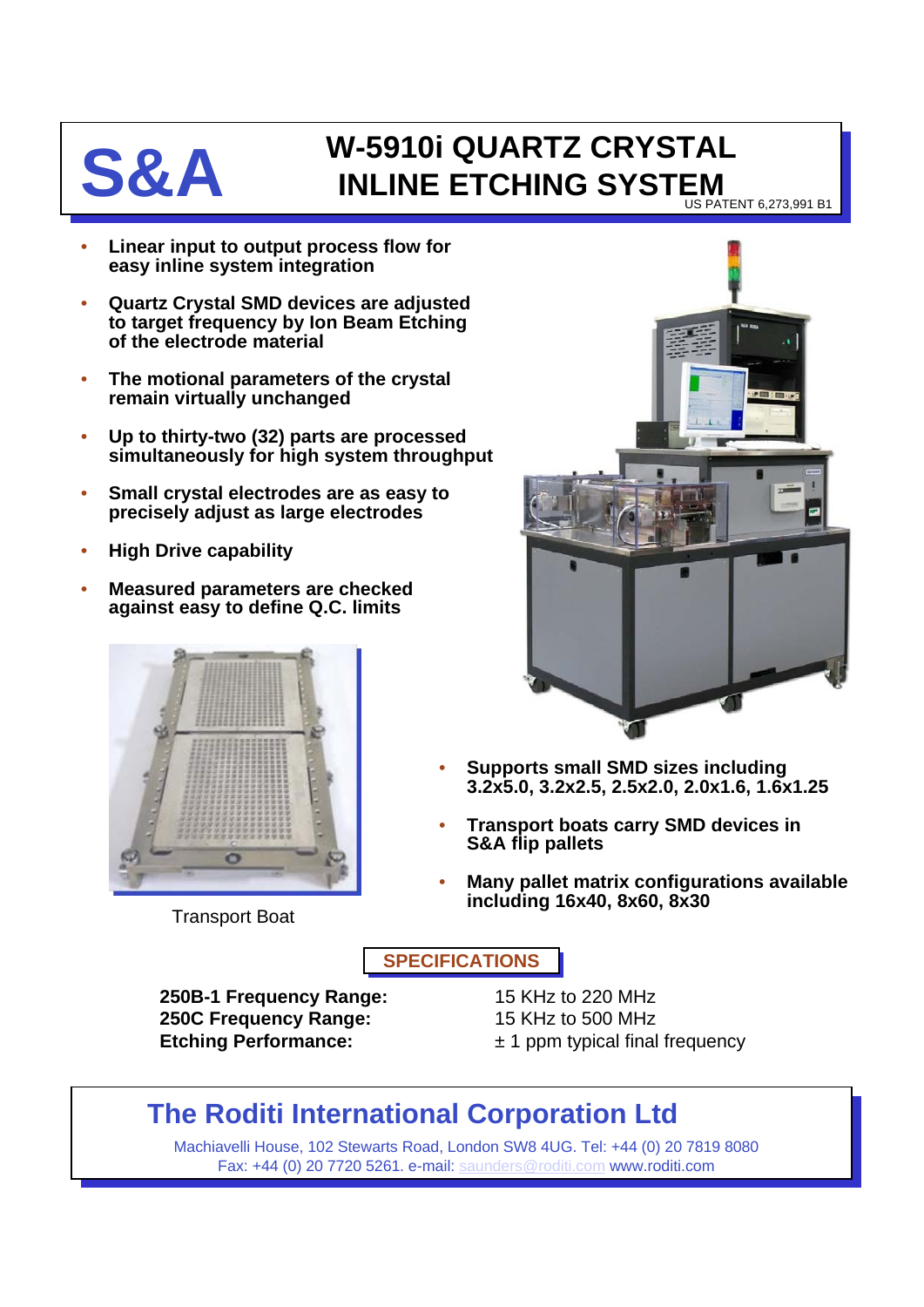## **S&A W-5910i QUARTZ CRYSTAL**<br>INLINE ETCHING SYSTEM **INLINE ETCHING SYSTEM** US PATENT 6,273,991 B1

• **Linear input to output process flow for easy inline system integration**

- **Quartz Crystal SMD devices are adjusted to target frequency by Ion Beam Etching of the electrode material**
- **The motional parameters of the crystal remain virtually unchanged**
- **Up to thirty-two (32) parts are processed simultaneously for high system throughput**
- **Small crystal electrodes are as easy to precisely adjust as large electrodes**
- **High Drive capability**
- **Measured parameters are checked against easy to define Q.C. limits**



Transport Boat



- **Supports small SMD sizes including 3.2x5.0, 3.2x2.5, 2.5x2.0, 2.0x1.6, 1.6x1.25**
- **Transport boats carry SMD devices in S&A flip pallets**
- **Many pallet matrix configurations available including 16x40, 8x60, 8x30**

**SPECIFICATIONS**

**250B-1 Frequency Range:** 15 KHz to 220 MHz **250C Frequency Range:** 15 KHz to 500 MHz **Etching Performance:**  $\pm 1$  ppm typical final frequency

## **The Roditi International Corporation Ltd**

Machiavelli House, 102 Stewarts Road, London SW8 4UG. Tel: +44 (0) 20 7819 8080 Fax: +44 (0) 20 7720 5261. e-mail: [saunders@roditi.com](mailto:saunders@roditi.com) www.roditi.com